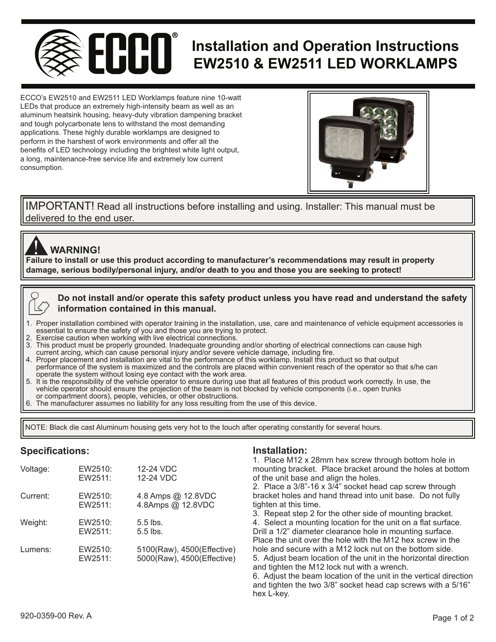

ECCO's EW2510 and EW2511 LED Worklamps feature nine 10-watt LEDs that produce an extremely high-intensity beam as well as an aluminum heatsink housing, heavy-duty vibration dampening bracket and tough polycarbonate lens to withstand the most demanding applications. These highly durable worklamps are designed to perform in the harshest of work environments and offer all the benefits of LED technology including the brightest white light output, a long, maintenance-free service life and extremely low current consumption.



delivered to the end user. IMPORTANT! Read all instructions before installing and using. Installer: This manual must be

# **WARNING!**

**Failure to install or use this product according to manufacturer's recommendations may result in property**<br>Failure to install or use this product according to manufacturer's recommendations may result in property **damage, serious bodily/personal injury, and/or death to you and those you are seeking to protect!** 



- 1. Proper installation combined with operator training in the installation, use, care and maintenance of vehicle equipment accessories is essential to ensure the safety of you and those you are trying to protect.
- Exercise caution when working with live electrical connections.
- 3. This product must be properly grounded. Inadequate grounding and/or shorting of electrical connections can cause high current arcing, which can cause personal injury and/or severe vehicle damage, including fire.
- 4. Proper placement and installation are vital to the performance of this worklamp. Install this product so that output
- performance of the system is maximized and the controls are placed within convenient reach of the operator so that s/he can operate the system without losing eye contact with the work area.
- 5. It is the responsibility of the vehicle operator to ensure during use that all features of this product work correctly. In use, the vehicle operator should ensure the projection of the beam is not blocked by vehicle components (i.e., open trunks or compartment doors), people, vehicles, or other obstructions.
- 6. The manufacturer assumes no liability for any loss resulting from the use of this device.

NOTE: Black die cast Aluminum housing gets very hot to the touch after operating constantly for several hours.

# Specifications:

| Voltage: | EW2510:<br>EW2511: | 12-24 VDC<br>12-24 VDC                                   |
|----------|--------------------|----------------------------------------------------------|
| Current: | EW2510:<br>EW2511: | 4.8 Amps @ 12.8VDC<br>4.8Amps @ 12.8VDC                  |
| Weight:  | EW2510:<br>EW2511: | $5.5$ lbs.<br>$5.5$ lbs.                                 |
| Lumens:  | EW2510:<br>EW2511: | 5100(Raw), 4500(Effective)<br>5000(Raw), 4500(Effective) |

## **Installation:**

|                       | 1. Place M12 x 28mm hex screw through bottom hole in              |
|-----------------------|-------------------------------------------------------------------|
| <b>VDC</b>            | mounting bracket. Place bracket around the holes at bottom        |
| VDC                   | of the unit base and align the holes.                             |
|                       | 2. Place a 3/8"-16 x 3/4" socket head cap screw through           |
| nps @ 12.8VDC         | bracket holes and hand thread into unit base. Do not fully        |
| nps @ 12.8VDC         | tighten at this time.                                             |
|                       | 3. Repeat step 2 for the other side of mounting bracket.          |
| S.                    | 4. Select a mounting location for the unit on a flat surface.     |
| $\mathbf{s}$ .        | Drill a 1/2" diameter clearance hole in mounting surface.         |
|                       | Place the unit over the hole with the M12 hex screw in the        |
| Raw), 4500(Effective) | hole and secure with a M12 lock nut on the bottom side.           |
| Raw), 4500(Effective) | 5. Adjust beam location of the unit in the horizontal direction   |
|                       | and tighten the M12 lock nut with a wrench.                       |
|                       | 6. Adjust the beam location of the unit in the vertical direction |
|                       | and tighten the two 3/8" socket head cap screws with a 5/16"      |
|                       | hex L-kev.                                                        |
|                       |                                                                   |